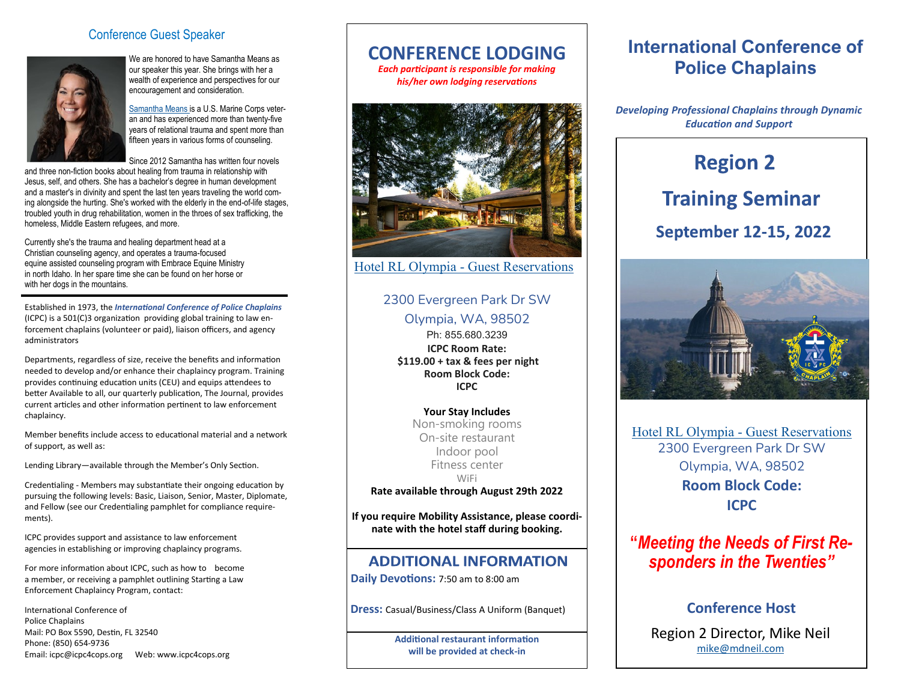#### Conference Guest Speaker



We are honored to have Samantha Means as our speaker this year. She brings with her a wealth of experience and perspectives for our encouragement and consideration.

Samantha Means is a U.S. Marine Corps veteran and has experienced more than twenty-five years of relational trauma and spent more than fifteen years in various forms of counseling.

Since 2012 Samantha has written four novels

and three non-fiction books about healing from trauma in relationship with Jesus, self, and others. She has a bachelor's degree in human development and a master's in divinity and spent the last ten years traveling the world coming alongside the hurting. She's worked with the elderly in the end-of-life stages, troubled youth in drug rehabilitation, women in the throes of sex trafficking, the homeless, Middle Eastern refugees, and more.

Currently she's the trauma and healing department head at a Christian counseling agency, and operates a trauma-focused equine assisted counseling program with Embrace Equine Ministry in north Idaho. In her spare time she can be found on her horse or with her dogs in the mountains.

Established in 1973, the *International Conference of Police Chaplains* (ICPC) is a 501(C)3 organization providing global training to law enforcement chaplains (volunteer or paid), liaison officers, and agency administrators

Departments, regardless of size, receive the benefits and information needed to develop and/or enhance their chaplaincy program. Training provides continuing education units (CEU) and equips attendees to better Available to all, our quarterly publication, The Journal, provides current articles and other information pertinent to law enforcement chaplaincy.

Member benefits include access to educational material and a network of support, as well as:

Lending Library—available through the Member's Only Section.

Credentialing - Members may substantiate their ongoing education by pursuing the following levels: Basic, Liaison, Senior, Master, Diplomate, and Fellow (see our Credentialing pamphlet for compliance requirements).

ICPC provides support and assistance to law enforcement agencies in establishing or improving chaplaincy programs.

For more information about ICPC, such as how to become a member, or receiving a pamphlet outlining Starting a Law Enforcement Chaplaincy Program, contact:

International Conference of Police Chaplains Mail: PO Box 5590, Destin, FL 32540 Phone: (850) 654-9736 Email: icpc@icpc4cops.org Web: www.icpc4cops.org

## **CONFERENCE LODGING**

*Each participant is responsible for making his/her own lodging reservations*



[Hotel RL Olympia](https://www.ihg.com/spnd/hotels/us/en/find-hotels/hotel/rooms?qDest=2300%20Evergreen%20Park%20Drive%20SW,%20Olympia,%20WA,%20US&qCiMy=82022&qCiD=11&qCoMy=82022&qCoD=15&qAdlt=1&qChld=0&qRms=1&qRtP=6CBARC&qIta=99801505&qGrpCd=ICP&qSlH=OLMEP&qAkamaiCC=US&qSrt) - Guest Reservations

# 2300 Evergreen Park Dr SW

Olympia, WA, 98502

Ph: 855.680.3239 **ICPC Room Rate: \$119.00 + tax & fees per night Room Block Code: ICPC**

**Your Stay Includes** Non-smoking rooms On-site restaurant Indoor pool Fitness center WiFi

**Rate available through August 29th 2022**

**If you require Mobility Assistance, please coordinate with the hotel staff during booking.**

#### **ADDITIONAL INFORMATION**

**Daily Devotions:** 7:50 am to 8:00 am

**Dress:** Casual/Business/Class A Uniform (Banquet)

**Additional restaurant information will be provided at check-in**

# **International Conference of Police Chaplains**

*Developing Professional Chaplains through Dynamic Education and Support*

# **Region 2 Training Seminar September 12-15, 2022**



Hotel RL Olympia - [Guest Reservations](https://www.ihg.com/spnd/hotels/us/en/find-hotels/hotel/rooms?qDest=2300%20Evergreen%20Park%20Drive%20SW,%20Olympia,%20WA,%20US&qCiMy=82022&qCiD=11&qCoMy=82022&qCoD=15&qAdlt=1&qChld=0&qRms=1&qRtP=6CBARC&qIta=99801505&qGrpCd=ICP&qSlH=OLMEP&qAkamaiCC=US&qSrt) 2300 Evergreen Park Dr SW Olympia, WA, 98502 **Room Block Code: ICPC**

# **"***Meeting the Needs of First Responders in the Twenties"*

### **Conference Host**

Region 2 Director, Mike Neil [mike@mdneil.com](mailto:mike@mdneil.com)